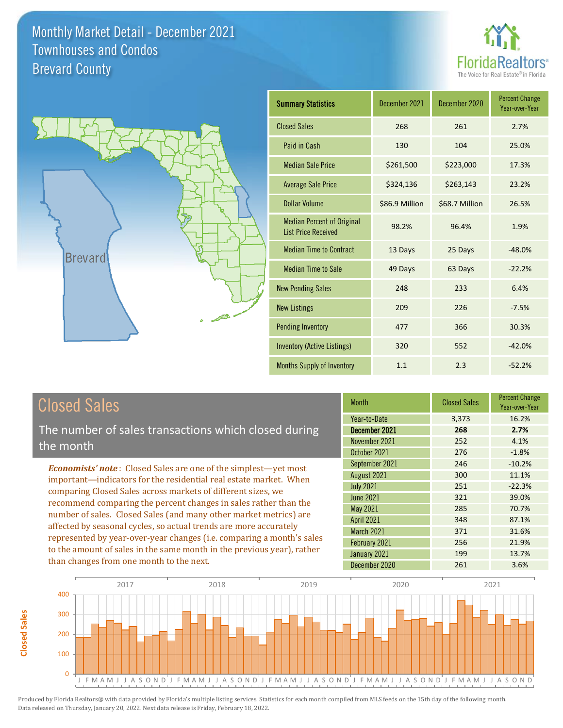



| <b>Summary Statistics</b>                                       | December 2021  | December 2020  | <b>Percent Change</b><br>Year-over-Year |
|-----------------------------------------------------------------|----------------|----------------|-----------------------------------------|
| <b>Closed Sales</b>                                             | 268            | 261            | 2.7%                                    |
| Paid in Cash                                                    | 130            | 104            | 25.0%                                   |
| <b>Median Sale Price</b>                                        | \$261,500      | \$223,000      | 17.3%                                   |
| <b>Average Sale Price</b>                                       | \$324,136      | \$263,143      | 23.2%                                   |
| <b>Dollar Volume</b>                                            | \$86.9 Million | \$68.7 Million | 26.5%                                   |
| <b>Median Percent of Original</b><br><b>List Price Received</b> | 98.2%          | 96.4%          | 1.9%                                    |
| <b>Median Time to Contract</b>                                  | 13 Days        | 25 Days        | $-48.0%$                                |
| <b>Median Time to Sale</b>                                      | 49 Days        | 63 Days        | $-22.2%$                                |
| <b>New Pending Sales</b>                                        | 248            | 233            | 6.4%                                    |
| <b>New Listings</b>                                             | 209            | 226            | $-7.5%$                                 |
| <b>Pending Inventory</b>                                        | 477            | 366            | 30.3%                                   |
| <b>Inventory (Active Listings)</b>                              | 320            | 552            | $-42.0%$                                |
| <b>Months Supply of Inventory</b>                               | 1.1            | 2.3            | $-52.2%$                                |

## Closed Sales

**Closed Sales**

**Closed Sales** 

The number of sales transactions which closed during the month

*Economists' note* : Closed Sales are one of the simplest—yet most important—indicators for the residential real estate market. When comparing Closed Sales across markets of different sizes, we recommend comparing the percent changes in sales rather than the number of sales. Closed Sales (and many other market metrics) are affected by seasonal cycles, so actual trends are more accurately represented by year-over-year changes (i.e. comparing a month's sales to the amount of sales in the same month in the previous year), rather than changes from one month to the next.

| <b>Month</b>     | <b>Closed Sales</b> | <b>Percent Change</b><br>Year-over-Year |
|------------------|---------------------|-----------------------------------------|
| Year-to-Date     | 3,373               | 16.2%                                   |
| December 2021    | 268                 | 2.7%                                    |
| November 2021    | 252                 | 4.1%                                    |
| October 2021     | 276                 | $-1.8%$                                 |
| September 2021   | 246                 | $-10.2%$                                |
| August 2021      | 300                 | 11.1%                                   |
| <b>July 2021</b> | 251                 | $-22.3%$                                |
| June 2021        | 321                 | 39.0%                                   |
| May 2021         | 285                 | 70.7%                                   |
| April 2021       | 348                 | 87.1%                                   |
| March 2021       | 371                 | 31.6%                                   |
| February 2021    | 256                 | 21.9%                                   |
| January 2021     | 199                 | 13.7%                                   |
| December 2020    | 261                 | 3.6%                                    |

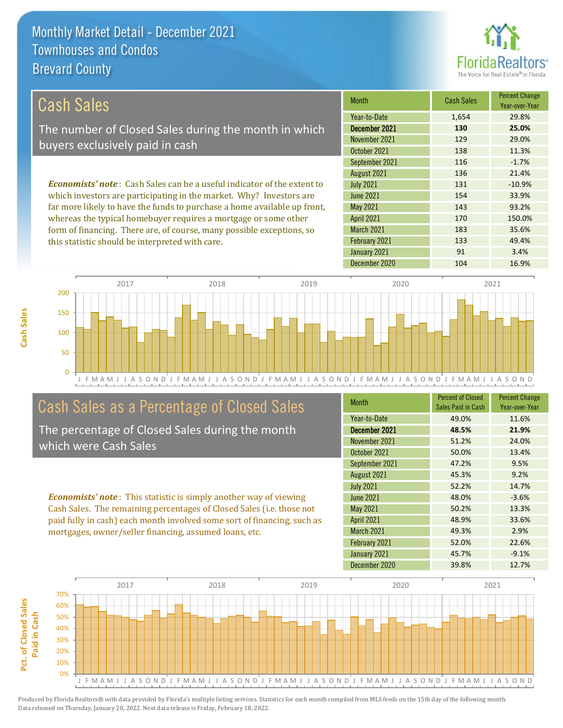this statistic should be interpreted with care.



133 49.4%

| Cash Sales                                                                     | <b>Month</b>      | <b>Cash Sales</b> | <b>Percent Change</b><br>Year-over-Year |
|--------------------------------------------------------------------------------|-------------------|-------------------|-----------------------------------------|
|                                                                                | Year-to-Date      | 1,654             | 29.8%                                   |
| The number of Closed Sales during the month in which                           | December 2021     | 130               | 25.0%                                   |
| buyers exclusively paid in cash                                                | November 2021     | 129               | 29.0%                                   |
|                                                                                | October 2021      | 138               | 11.3%                                   |
|                                                                                | September 2021    | 116               | $-1.7%$                                 |
|                                                                                | August 2021       | 136               | 21.4%                                   |
| <b>Economists' note:</b> Cash Sales can be a useful indicator of the extent to | <b>July 2021</b>  | 131               | $-10.9%$                                |
| which investors are participating in the market. Why? Investors are            | June 2021         | 154               | 33.9%                                   |
| far more likely to have the funds to purchase a home available up front,       | May 2021          | 143               | 93.2%                                   |
| whereas the typical homebuyer requires a mortgage or some other                | <b>April 2021</b> | 170               | 150.0%                                  |
| form of financing. There are, of course, many possible exceptions, so          | <b>March 2021</b> | 183               | 35.6%                                   |

J F M A M J J A S O N D J F M A M J J A S O N D J F M A M J J A S O N D J F M A M J J A S O N D J F M A M J J A S O N D 0 50 100 150 200 2017 2018 2019 2020 2021

## Cash Sales as a Percentage of Closed Sales

The percentage of Closed Sales during the month which were Cash Sales

*Economists' note* : This statistic is simply another way of viewing Cash Sales. The remaining percentages of Closed Sales (i.e. those not paid fully in cash) each month involved some sort of financing, such as mortgages, owner/seller financing, assumed loans, etc.

| <b>Month</b>      | <b>Percent of Closed</b><br>Sales Paid in Cash | <b>Percent Change</b><br>Year-over-Year |
|-------------------|------------------------------------------------|-----------------------------------------|
| Year-to-Date      | 49.0%                                          | 11.6%                                   |
| December 2021     | 48.5%                                          | 21.9%                                   |
| November 2021     | 51.2%                                          | 24.0%                                   |
| October 2021      | 50.0%                                          | 13.4%                                   |
| September 2021    | 47.2%                                          | 9.5%                                    |
| August 2021       | 45.3%                                          | 9.2%                                    |
| <b>July 2021</b>  | 52.2%                                          | 14.7%                                   |
| <b>June 2021</b>  | 48.0%                                          | $-3.6%$                                 |
| May 2021          | 50.2%                                          | 13.3%                                   |
| <b>April 2021</b> | 48.9%                                          | 33.6%                                   |
| <b>March 2021</b> | 49.3%                                          | 2.9%                                    |
| February 2021     | 52.0%                                          | 22.6%                                   |
| January 2021      | 45.7%                                          | $-9.1%$                                 |
| December 2020     | 39.8%                                          | 12.7%                                   |

December 2020 104 16.9%

January 2021 **91** 91 3.4%

February 2021



Pct. of Closed Sales **Pct. of Closed Sales**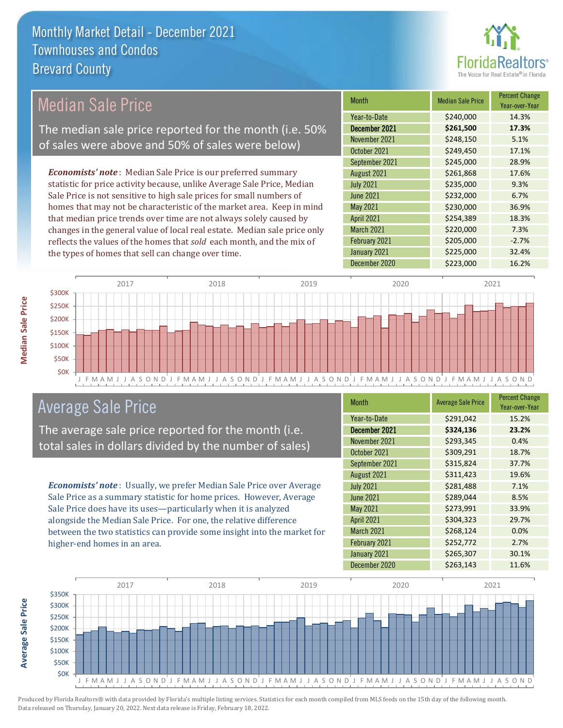

## Median Sale Price

The median sale price reported for the month (i.e. 50% of sales were above and 50% of sales were below)

*Economists' note* : Median Sale Price is our preferred summary statistic for price activity because, unlike Average Sale Price, Median Sale Price is not sensitive to high sale prices for small numbers of homes that may not be characteristic of the market area. Keep in mind that median price trends over time are not always solely caused by changes in the general value of local real estate. Median sale price only reflects the values of the homes that *sold* each month, and the mix of the types of homes that sell can change over time.

| Month             | <b>Median Sale Price</b> | <b>Percent Change</b><br>Year-over-Year |
|-------------------|--------------------------|-----------------------------------------|
| Year-to-Date      | \$240,000                | 14.3%                                   |
| December 2021     | \$261,500                | 17.3%                                   |
| November 2021     | \$248,150                | 5.1%                                    |
| October 2021      | \$249,450                | 17.1%                                   |
| September 2021    | \$245,000                | 28.9%                                   |
| August 2021       | \$261,868                | 17.6%                                   |
| <b>July 2021</b>  | \$235,000                | 9.3%                                    |
| <b>June 2021</b>  | \$232,000                | 6.7%                                    |
| May 2021          | \$230,000                | 36.9%                                   |
| <b>April 2021</b> | \$254,389                | 18.3%                                   |
| March 2021        | \$220,000                | 7.3%                                    |
| February 2021     | \$205,000                | $-2.7%$                                 |
| January 2021      | \$225,000                | 32.4%                                   |
| December 2020     | \$223,000                | 16.2%                                   |



## Average Sale Price

The average sale price reported for the month (i.e. total sales in dollars divided by the number of sales)

*Economists' note* : Usually, we prefer Median Sale Price over Average Sale Price as a summary statistic for home prices. However, Average Sale Price does have its uses—particularly when it is analyzed alongside the Median Sale Price. For one, the relative difference between the two statistics can provide some insight into the market for higher-end homes in an area.

| <b>Month</b>      | <b>Average Sale Price</b> | <b>Percent Change</b><br>Year-over-Year |
|-------------------|---------------------------|-----------------------------------------|
| Year-to-Date      | \$291,042                 | 15.2%                                   |
| December 2021     | \$324,136                 | 23.2%                                   |
| November 2021     | \$293,345                 | 0.4%                                    |
| October 2021      | \$309,291                 | 18.7%                                   |
| September 2021    | \$315,824                 | 37.7%                                   |
| August 2021       | \$311,423                 | 19.6%                                   |
| <b>July 2021</b>  | \$281,488                 | 7.1%                                    |
| <b>June 2021</b>  | \$289,044                 | 8.5%                                    |
| May 2021          | \$273,991                 | 33.9%                                   |
| <b>April 2021</b> | \$304,323                 | 29.7%                                   |
| March 2021        | \$268,124                 | 0.0%                                    |
| February 2021     | \$252,772                 | 2.7%                                    |
| January 2021      | \$265,307                 | 30.1%                                   |
| December 2020     | \$263,143                 | 11.6%                                   |



**Average Sale Price**

**Average Sale Price**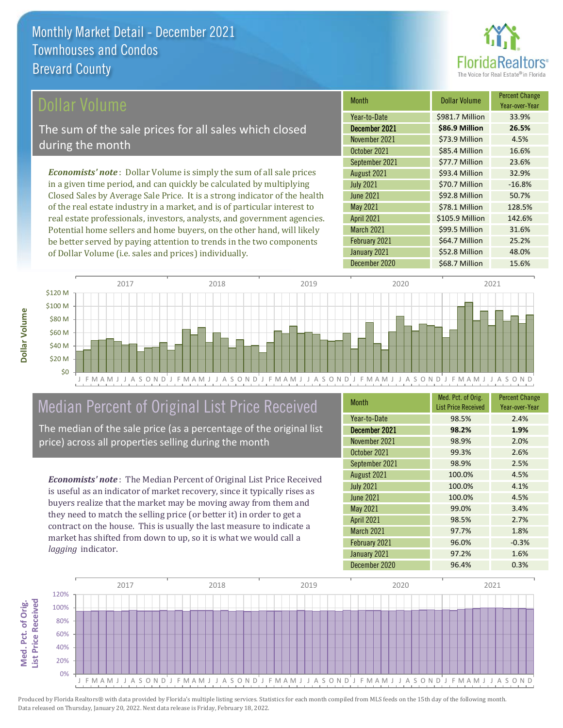

Year-over-Year

128.5%

\$99.5 Million 31.6%

\$64.7 Million 25.2%

Month **Dollar Volume** Percent Change

**December 2021 \$86.9 Million 26.5%** Year-to-Date \$981.7 Million 33.9%

November 2021 **\$73.9 Million** 4.5% October 2021 **\$85.4 Million** 16.6%

September 2021 **\$77.7 Million** 23.6% August 2021 **\$93.4 Million** 32.9% July 2021 **\$70.7 Million** -16.8% June 2021 **\$92.8 Million** 50.7%

December 2020 \$68.7 Million 15.6%

January 2021 **\$52.8 Million** 48.0%

April 2021 \$105.9 Million 142.6%

May 2021 **578.1 Million** 

February 2021

March 2021

### ollar Volume

The sum of the sale prices for all sales which closed during the month

*Economists' note* : Dollar Volume is simply the sum of all sale prices in a given time period, and can quickly be calculated by multiplying Closed Sales by Average Sale Price. It is a strong indicator of the health of the real estate industry in a market, and is of particular interest to real estate professionals, investors, analysts, and government agencies. Potential home sellers and home buyers, on the other hand, will likely be better served by paying attention to trends in the two components of Dollar Volume (i.e. sales and prices) individually.



## Median Percent of Original List Price Received

The median of the sale price (as a percentage of the original list price) across all properties selling during the month

*Economists' note* : The Median Percent of Original List Price Received is useful as an indicator of market recovery, since it typically rises as buyers realize that the market may be moving away from them and they need to match the selling price (or better it) in order to get a contract on the house. This is usually the last measure to indicate a market has shifted from down to up, so it is what we would call a *lagging* indicator.

| <b>Month</b>      | Med. Pct. of Orig.<br><b>List Price Received</b> | <b>Percent Change</b><br>Year-over-Year |
|-------------------|--------------------------------------------------|-----------------------------------------|
| Year-to-Date      | 98.5%                                            | 2.4%                                    |
| December 2021     | 98.2%                                            | 1.9%                                    |
| November 2021     | 98.9%                                            | 2.0%                                    |
| October 2021      | 99.3%                                            | 2.6%                                    |
| September 2021    | 98.9%                                            | 2.5%                                    |
| August 2021       | 100.0%                                           | 4.5%                                    |
| <b>July 2021</b>  | 100.0%                                           | 4.1%                                    |
| <b>June 2021</b>  | 100.0%                                           | 4.5%                                    |
| May 2021          | 99.0%                                            | 3.4%                                    |
| <b>April 2021</b> | 98.5%                                            | 2.7%                                    |
| <b>March 2021</b> | 97.7%                                            | 1.8%                                    |
| February 2021     | 96.0%                                            | $-0.3%$                                 |
| January 2021      | 97.2%                                            | 1.6%                                    |
| December 2020     | 96.4%                                            | 0.3%                                    |

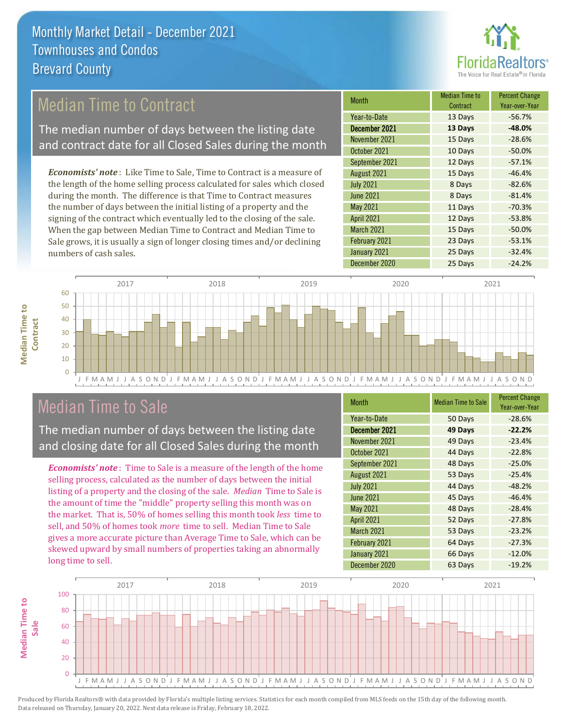

## Median Time to Contract

The median number of days between the listing date and contract date for all Closed Sales during the month

*Economists' note* : Like Time to Sale, Time to Contract is a measure of the length of the home selling process calculated for sales which closed during the month. The difference is that Time to Contract measures the number of days between the initial listing of a property and the signing of the contract which eventually led to the closing of the sale. When the gap between Median Time to Contract and Median Time to Sale grows, it is usually a sign of longer closing times and/or declining numbers of cash sales.

| <b>Month</b>      | <b>Median Time to</b><br>Contract | <b>Percent Change</b><br>Year-over-Year |
|-------------------|-----------------------------------|-----------------------------------------|
| Year-to-Date      | 13 Days                           | $-56.7%$                                |
| December 2021     | 13 Days                           | $-48.0%$                                |
| November 2021     | 15 Days                           | $-28.6%$                                |
| October 2021      | 10 Days                           | $-50.0%$                                |
| September 2021    | 12 Days                           | $-57.1%$                                |
| August 2021       | 15 Days                           | $-46.4%$                                |
| <b>July 2021</b>  | 8 Days                            | $-82.6%$                                |
| <b>June 2021</b>  | 8 Days                            | $-81.4%$                                |
| May 2021          | 11 Days                           | $-70.3%$                                |
| <b>April 2021</b> | 12 Days                           | $-53.8%$                                |
| March 2021        | 15 Days                           | $-50.0%$                                |
| February 2021     | 23 Days                           | $-53.1%$                                |
| January 2021      | 25 Days                           | $-32.4%$                                |
| December 2020     | 25 Days                           | $-24.2%$                                |



## Median Time to Sale

**Median Time to** 

**Median Time to** 

The median number of days between the listing date and closing date for all Closed Sales during the month

*Economists' note* : Time to Sale is a measure of the length of the home selling process, calculated as the number of days between the initial listing of a property and the closing of the sale. *Median* Time to Sale is the amount of time the "middle" property selling this month was on the market. That is, 50% of homes selling this month took *less* time to sell, and 50% of homes took *more* time to sell. Median Time to Sale gives a more accurate picture than Average Time to Sale, which can be skewed upward by small numbers of properties taking an abnormally long time to sell.

| <b>Month</b>      | <b>Median Time to Sale</b> | <b>Percent Change</b><br>Year-over-Year |
|-------------------|----------------------------|-----------------------------------------|
| Year-to-Date      | 50 Days                    | $-28.6%$                                |
| December 2021     | 49 Days                    | $-22.2%$                                |
| November 2021     | 49 Days                    | $-23.4%$                                |
| October 2021      | 44 Days                    | $-22.8%$                                |
| September 2021    | 48 Days                    | $-25.0%$                                |
| August 2021       | 53 Days                    | $-25.4%$                                |
| <b>July 2021</b>  | 44 Days                    | $-48.2%$                                |
| June 2021         | 45 Days                    | $-46.4%$                                |
| May 2021          | 48 Days                    | $-28.4%$                                |
| <b>April 2021</b> | 52 Days                    | $-27.8%$                                |
| <b>March 2021</b> | 53 Days                    | $-23.2%$                                |
| February 2021     | 64 Days                    | $-27.3%$                                |
| January 2021      | 66 Days                    | $-12.0%$                                |
| December 2020     | 63 Days                    | $-19.2%$                                |

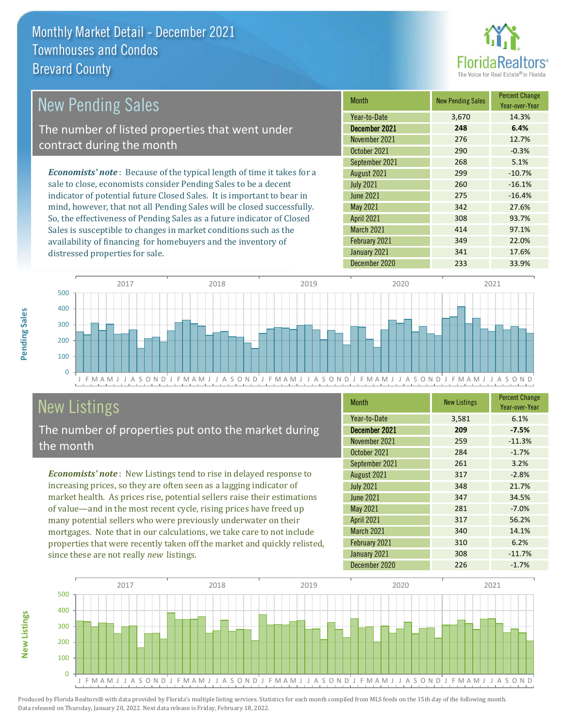

#### *Economists' note* : Because of the typical length of time it takes for a sale to close, economists consider Pending Sales to be a decent indicator of potential future Closed Sales. It is important to bear in mind, however, that not all Pending Sales will be closed successfully. So, the effectiveness of Pending Sales as a future indicator of Closed Sales is susceptible to changes in market conditions such as the Month New Pending Sales Percent Change Year-over-Year December 2021 **248 6.4%** Year-to-Date 3,670 14.3% May 2021 342 27.6% November 2021 276 276 12.7% October 2021 290 290 -0.3% July 2021 260 -16.1% June 2021 275 -16.4% September 2021 268 5.1% August 2021 299 299 -10.7% April 2021 308 93.7% March 2021 **414** 97.1% New Pending Sales The number of listed properties that went under contract during the month

J F M A M J J A S O N D J F M A M J J A S O N D J F M A M J J A S O N D J F M A M J J A S O N D J F M A M J J A S O N D  $\Omega$ 100 200 300 400 500 2017 2018 2019 2020 2021

# New Listings

distressed properties for sale.

The number of properties put onto the market during the month

availability of financing for homebuyers and the inventory of

*Economists' note* : New Listings tend to rise in delayed response to increasing prices, so they are often seen as a lagging indicator of market health. As prices rise, potential sellers raise their estimations of value—and in the most recent cycle, rising prices have freed up many potential sellers who were previously underwater on their mortgages. Note that in our calculations, we take care to not include properties that were recently taken off the market and quickly relisted, since these are not really *new* listings.

| <b>Month</b>      | <b>New Listings</b> | <b>Percent Change</b><br>Year-over-Year |
|-------------------|---------------------|-----------------------------------------|
| Year-to-Date      | 3,581               | 6.1%                                    |
| December 2021     | 209                 | $-7.5%$                                 |
| November 2021     | 259                 | $-11.3%$                                |
| October 2021      | 284                 | $-1.7%$                                 |
| September 2021    | 261                 | 3.2%                                    |
| August 2021       | 317                 | $-2.8%$                                 |
| <b>July 2021</b>  | 348                 | 21.7%                                   |
| <b>June 2021</b>  | 347                 | 34.5%                                   |
| May 2021          | 281                 | $-7.0%$                                 |
| <b>April 2021</b> | 317                 | 56.2%                                   |
| March 2021        | 340                 | 14.1%                                   |
| February 2021     | 310                 | 6.2%                                    |
| January 2021      | 308                 | $-11.7%$                                |
| December 2020     | 226                 | $-1.7%$                                 |

February 2021 349 22.0% January 2021 **341** 17.6% December 2020 233 33.9%



**New Listings**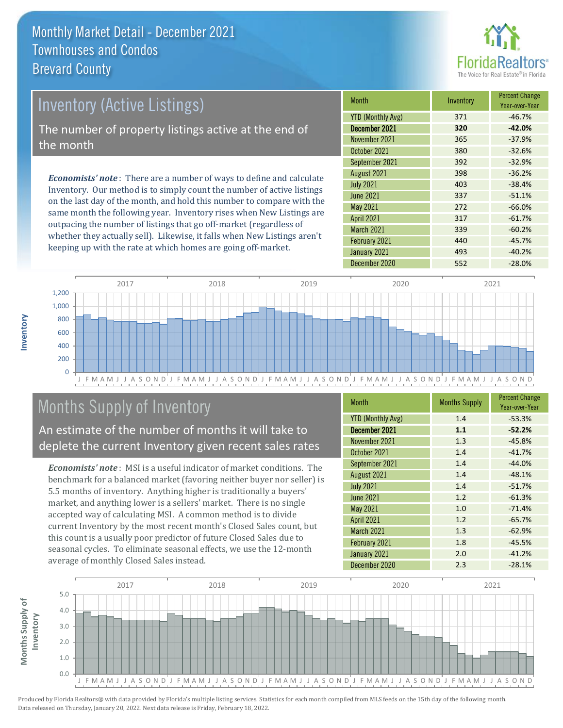

## Inventory (Active Listings) The number of property listings active at the end of the month

*Economists' note* : There are a number of ways to define and calculate Inventory. Our method is to simply count the number of active listings on the last day of the month, and hold this number to compare with the same month the following year. Inventory rises when New Listings are outpacing the number of listings that go off-market (regardless of whether they actually sell). Likewise, it falls when New Listings aren't keeping up with the rate at which homes are going off-market.

| Month                    | Inventory | <b>Percent Change</b><br>Year-over-Year |
|--------------------------|-----------|-----------------------------------------|
| <b>YTD (Monthly Avg)</b> | 371       | $-46.7%$                                |
| December 2021            | 320       | $-42.0%$                                |
| November 2021            | 365       | $-37.9%$                                |
| October 2021             | 380       | $-32.6%$                                |
| September 2021           | 392       | $-32.9%$                                |
| August 2021              | 398       | $-36.2%$                                |
| <b>July 2021</b>         | 403       | $-38.4%$                                |
| <b>June 2021</b>         | 337       | $-51.1%$                                |
| <b>May 2021</b>          | 272       | $-66.0%$                                |
| <b>April 2021</b>        | 317       | $-61.7%$                                |
| <b>March 2021</b>        | 339       | $-60.2%$                                |
| February 2021            | 440       | $-45.7%$                                |
| January 2021             | 493       | $-40.2%$                                |
| December 2020            | 552       | $-28.0%$                                |



## Months Supply of Inventory

An estimate of the number of months it will take to deplete the current Inventory given recent sales rates

*Economists' note* : MSI is a useful indicator of market conditions. The benchmark for a balanced market (favoring neither buyer nor seller) is 5.5 months of inventory. Anything higher is traditionally a buyers' market, and anything lower is a sellers' market. There is no single accepted way of calculating MSI. A common method is to divide current Inventory by the most recent month's Closed Sales count, but this count is a usually poor predictor of future Closed Sales due to seasonal cycles. To eliminate seasonal effects, we use the 12-month average of monthly Closed Sales instead.

| <b>Month</b>             | <b>Months Supply</b> | <b>Percent Change</b><br>Year-over-Year |
|--------------------------|----------------------|-----------------------------------------|
| <b>YTD (Monthly Avg)</b> | 1.4                  | $-53.3%$                                |
| December 2021            | 1.1                  | $-52.2%$                                |
| November 2021            | 1.3                  | $-45.8%$                                |
| October 2021             | 1.4                  | $-41.7%$                                |
| September 2021           | 1.4                  | $-44.0%$                                |
| August 2021              | 1.4                  | $-48.1%$                                |
| <b>July 2021</b>         | 1.4                  | $-51.7%$                                |
| <b>June 2021</b>         | 1.2                  | $-61.3%$                                |
| May 2021                 | 1.0                  | $-71.4%$                                |
| <b>April 2021</b>        | 1.2                  | $-65.7%$                                |
| <b>March 2021</b>        | 1.3                  | $-62.9%$                                |
| February 2021            | 1.8                  | $-45.5%$                                |
| January 2021             | 2.0                  | $-41.2%$                                |
| December 2020            | 2.3                  | $-28.1%$                                |

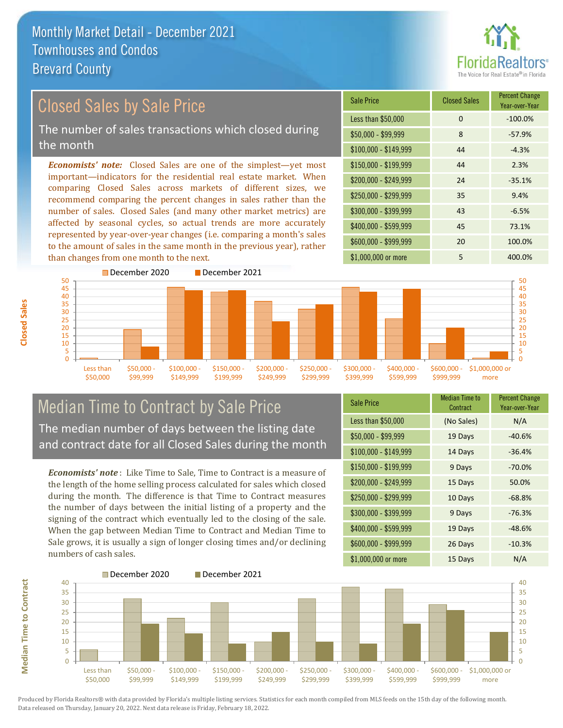

#### *Economists' note:* Closed Sales are one of the simplest—yet most important—indicators for the residential real estate market. When comparing Closed Sales across markets of different sizes, we recommend comparing the percent changes in sales rather than the number of sales. Closed Sales (and many other market metrics) are affected by seasonal cycles, so actual trends are more accurately represented by year-over-year changes (i.e. comparing a month's sales to the amount of sales in the same month in the previous year), rather than changes from one month to the next. \$1,000,000 or more 5 400.0% \$250,000 - \$299,999 35 9.4%  $$300,000 - $399,999$  43 -6.5% \$400,000 - \$599,999 45 73.1% \$600,000 - \$999,999 20 100.0% \$150,000 - \$199,999 44 2.3%  $$200.000 - $249.999$  24 -35.1%  $$100,000 - $149,999$  44 -4.3% Sale Price Closed Sales Percent Change Year-over-Year Less than \$50,000 0 0 -100.0% \$50,000 - \$99,999 8 -57.9% 50 December 2020 December 2021 35 40 45 50 Closed Sales by Sale Price The number of sales transactions which closed during the month



### Median Time to Contract by Sale Price The median number of days between the listing date and contract date for all Closed Sales during the month

*Economists' note* : Like Time to Sale, Time to Contract is a measure of the length of the home selling process calculated for sales which closed during the month. The difference is that Time to Contract measures the number of days between the initial listing of a property and the signing of the contract which eventually led to the closing of the sale. When the gap between Median Time to Contract and Median Time to Sale grows, it is usually a sign of longer closing times and/or declining numbers of cash sales.

| <b>Sale Price</b>     | Median Time to<br>Contract | <b>Percent Change</b><br>Year-over-Year |
|-----------------------|----------------------------|-----------------------------------------|
| Less than \$50,000    | (No Sales)                 | N/A                                     |
| $$50,000 - $99,999$   | 19 Days                    | $-40.6%$                                |
| $$100,000 - $149,999$ | 14 Days                    | $-36.4%$                                |
| $$150,000 - $199,999$ | 9 Days                     | $-70.0%$                                |
| \$200,000 - \$249,999 | 15 Days                    | 50.0%                                   |
| \$250,000 - \$299,999 | 10 Days                    | $-68.8%$                                |
| $$300,000 - $399,999$ | 9 Days                     | $-76.3%$                                |
| \$400,000 - \$599,999 | 19 Days                    | $-48.6%$                                |
| \$600,000 - \$999,999 | 26 Days                    | $-10.3%$                                |
| \$1,000,000 or more   | 15 Days                    | N/A                                     |



**Closed Sales**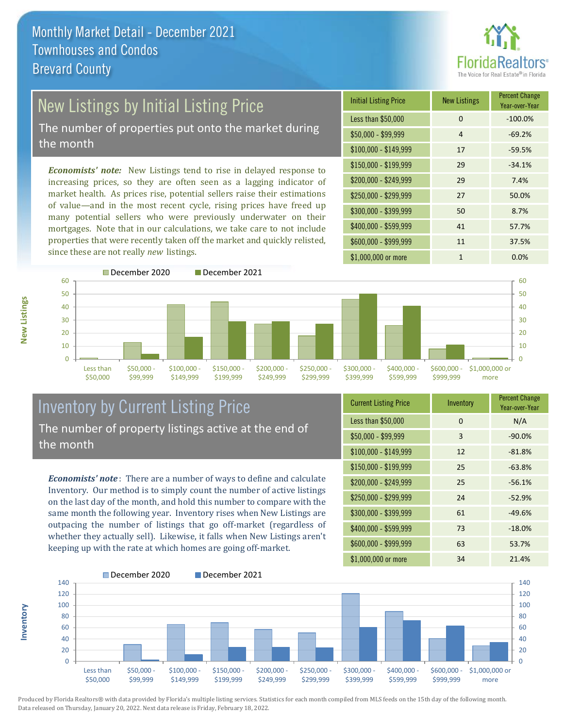

# New Listings by Initial Listing Price

The number of properties put onto the market during the month

*Economists' note:* New Listings tend to rise in delayed response to increasing prices, so they are often seen as a lagging indicator of market health. As prices rise, potential sellers raise their estimations of value—and in the most recent cycle, rising prices have freed up many potential sellers who were previously underwater on their mortgages. Note that in our calculations, we take care to not include properties that were recently taken off the market and quickly relisted, since these are not really *new* listings.





**Inventory**



### Inventory by Current Listing Price The number of property listings active at the end of the month

*Economists' note* : There are a number of ways to define and calculate Inventory. Our method is to simply count the number of active listings on the last day of the month, and hold this number to compare with the same month the following year. Inventory rises when New Listings are outpacing the number of listings that go off-market (regardless of whether they actually sell). Likewise, it falls when New Listings aren't keeping up with the rate at which homes are going off-market.

| <b>Current Listing Price</b> | Inventory | <b>Percent Change</b><br>Year-over-Year |
|------------------------------|-----------|-----------------------------------------|
| Less than \$50,000           | 0         | N/A                                     |
| $$50,000 - $99,999$          | 3         | $-90.0%$                                |
| $$100,000 - $149,999$        | 12        | $-81.8%$                                |
| $$150,000 - $199,999$        | 25        | $-63.8%$                                |
| \$200,000 - \$249,999        | 25        | $-56.1%$                                |
| \$250,000 - \$299,999        | 24        | $-52.9%$                                |
| \$300,000 - \$399,999        | 61        | $-49.6%$                                |
| $$400,000 - $599,999$        | 73        | $-18.0%$                                |
| \$600,000 - \$999,999        | 63        | 53.7%                                   |
| \$1,000,000 or more          | 34        | 21.4%                                   |